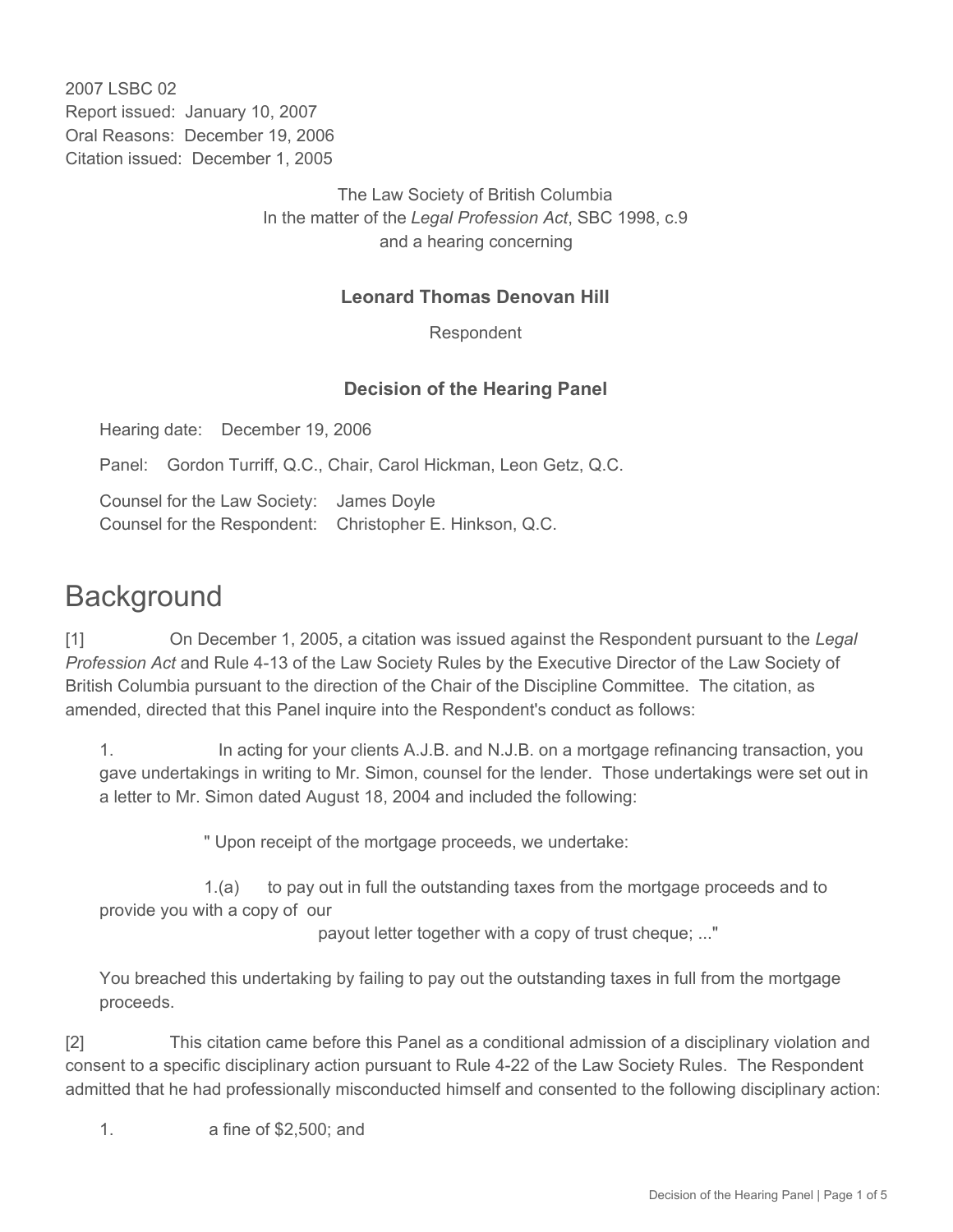2007 LSBC 02 Report issued: January 10, 2007 Oral Reasons: December 19, 2006 Citation issued: December 1, 2005

> The Law Society of British Columbia In the matter of the *Legal Profession Act*, SBC 1998, c.9 and a hearing concerning

## **Leonard Thomas Denovan Hill**

Respondent

#### **Decision of the Hearing Panel**

Hearing date: December 19, 2006

Panel: Gordon Turriff, Q.C., Chair, Carol Hickman, Leon Getz, Q.C.

Counsel for the Law Society: James Doyle Counsel for the Respondent: Christopher E. Hinkson, Q.C.

# **Background**

[1] On December 1, 2005, a citation was issued against the Respondent pursuant to the *Legal Profession Act* and Rule 4-13 of the Law Society Rules by the Executive Director of the Law Society of British Columbia pursuant to the direction of the Chair of the Discipline Committee. The citation, as amended, directed that this Panel inquire into the Respondent's conduct as follows:

1. In acting for your clients A.J.B. and N.J.B. on a mortgage refinancing transaction, you gave undertakings in writing to Mr. Simon, counsel for the lender. Those undertakings were set out in a letter to Mr. Simon dated August 18, 2004 and included the following:

" Upon receipt of the mortgage proceeds, we undertake:

 1.(a) to pay out in full the outstanding taxes from the mortgage proceeds and to provide you with a copy of our

payout letter together with a copy of trust cheque; ..."

You breached this undertaking by failing to pay out the outstanding taxes in full from the mortgage proceeds.

[2] This citation came before this Panel as a conditional admission of a disciplinary violation and consent to a specific disciplinary action pursuant to Rule 4-22 of the Law Society Rules. The Respondent admitted that he had professionally misconducted himself and consented to the following disciplinary action:

1. a fine of \$2,500; and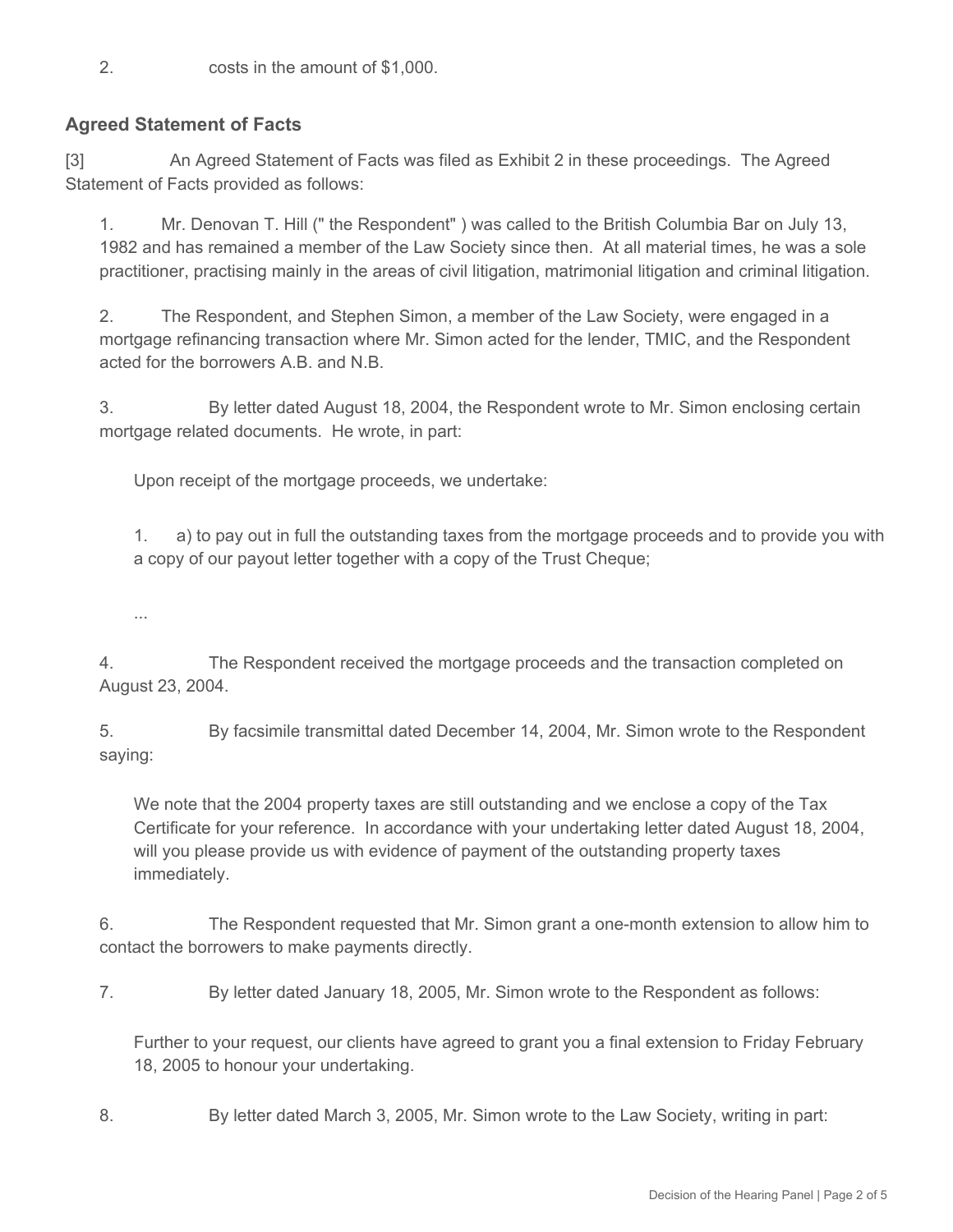2. costs in the amount of \$1,000.

# **Agreed Statement of Facts**

[3] An Agreed Statement of Facts was filed as Exhibit 2 in these proceedings. The Agreed Statement of Facts provided as follows:

1. Mr. Denovan T. Hill (" the Respondent" ) was called to the British Columbia Bar on July 13, 1982 and has remained a member of the Law Society since then. At all material times, he was a sole practitioner, practising mainly in the areas of civil litigation, matrimonial litigation and criminal litigation.

2. The Respondent, and Stephen Simon, a member of the Law Society, were engaged in a mortgage refinancing transaction where Mr. Simon acted for the lender, TMIC, and the Respondent acted for the borrowers A.B. and N.B.

3. By letter dated August 18, 2004, the Respondent wrote to Mr. Simon enclosing certain mortgage related documents. He wrote, in part:

Upon receipt of the mortgage proceeds, we undertake:

1. a) to pay out in full the outstanding taxes from the mortgage proceeds and to provide you with a copy of our payout letter together with a copy of the Trust Cheque;

...

4. The Respondent received the mortgage proceeds and the transaction completed on August 23, 2004.

5. By facsimile transmittal dated December 14, 2004, Mr. Simon wrote to the Respondent saying:

We note that the 2004 property taxes are still outstanding and we enclose a copy of the Tax Certificate for your reference. In accordance with your undertaking letter dated August 18, 2004, will you please provide us with evidence of payment of the outstanding property taxes immediately.

6. The Respondent requested that Mr. Simon grant a one-month extension to allow him to contact the borrowers to make payments directly.

7. By letter dated January 18, 2005, Mr. Simon wrote to the Respondent as follows:

Further to your request, our clients have agreed to grant you a final extension to Friday February 18, 2005 to honour your undertaking.

8. By letter dated March 3, 2005, Mr. Simon wrote to the Law Society, writing in part: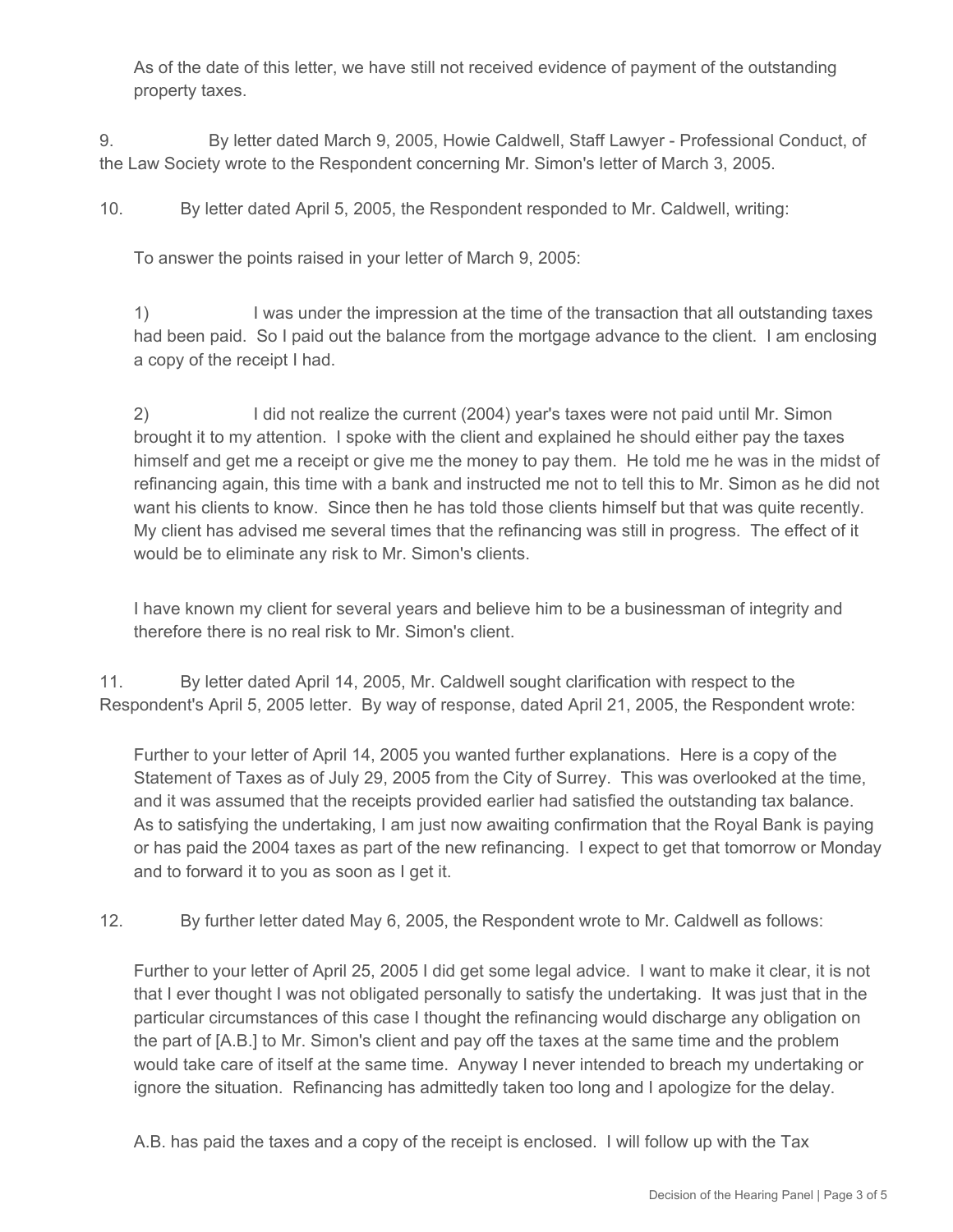As of the date of this letter, we have still not received evidence of payment of the outstanding property taxes.

9. By letter dated March 9, 2005, Howie Caldwell, Staff Lawyer - Professional Conduct, of the Law Society wrote to the Respondent concerning Mr. Simon's letter of March 3, 2005.

10. By letter dated April 5, 2005, the Respondent responded to Mr. Caldwell, writing:

To answer the points raised in your letter of March 9, 2005:

1) I was under the impression at the time of the transaction that all outstanding taxes had been paid. So I paid out the balance from the mortgage advance to the client. I am enclosing a copy of the receipt I had.

2) I did not realize the current (2004) year's taxes were not paid until Mr. Simon brought it to my attention. I spoke with the client and explained he should either pay the taxes himself and get me a receipt or give me the money to pay them. He told me he was in the midst of refinancing again, this time with a bank and instructed me not to tell this to Mr. Simon as he did not want his clients to know. Since then he has told those clients himself but that was quite recently. My client has advised me several times that the refinancing was still in progress. The effect of it would be to eliminate any risk to Mr. Simon's clients.

I have known my client for several years and believe him to be a businessman of integrity and therefore there is no real risk to Mr. Simon's client.

11. By letter dated April 14, 2005, Mr. Caldwell sought clarification with respect to the Respondent's April 5, 2005 letter. By way of response, dated April 21, 2005, the Respondent wrote:

Further to your letter of April 14, 2005 you wanted further explanations. Here is a copy of the Statement of Taxes as of July 29, 2005 from the City of Surrey. This was overlooked at the time, and it was assumed that the receipts provided earlier had satisfied the outstanding tax balance. As to satisfying the undertaking, I am just now awaiting confirmation that the Royal Bank is paying or has paid the 2004 taxes as part of the new refinancing. I expect to get that tomorrow or Monday and to forward it to you as soon as I get it.

12. By further letter dated May 6, 2005, the Respondent wrote to Mr. Caldwell as follows:

Further to your letter of April 25, 2005 I did get some legal advice. I want to make it clear, it is not that I ever thought I was not obligated personally to satisfy the undertaking. It was just that in the particular circumstances of this case I thought the refinancing would discharge any obligation on the part of [A.B.] to Mr. Simon's client and pay off the taxes at the same time and the problem would take care of itself at the same time. Anyway I never intended to breach my undertaking or ignore the situation. Refinancing has admittedly taken too long and I apologize for the delay.

A.B. has paid the taxes and a copy of the receipt is enclosed. I will follow up with the Tax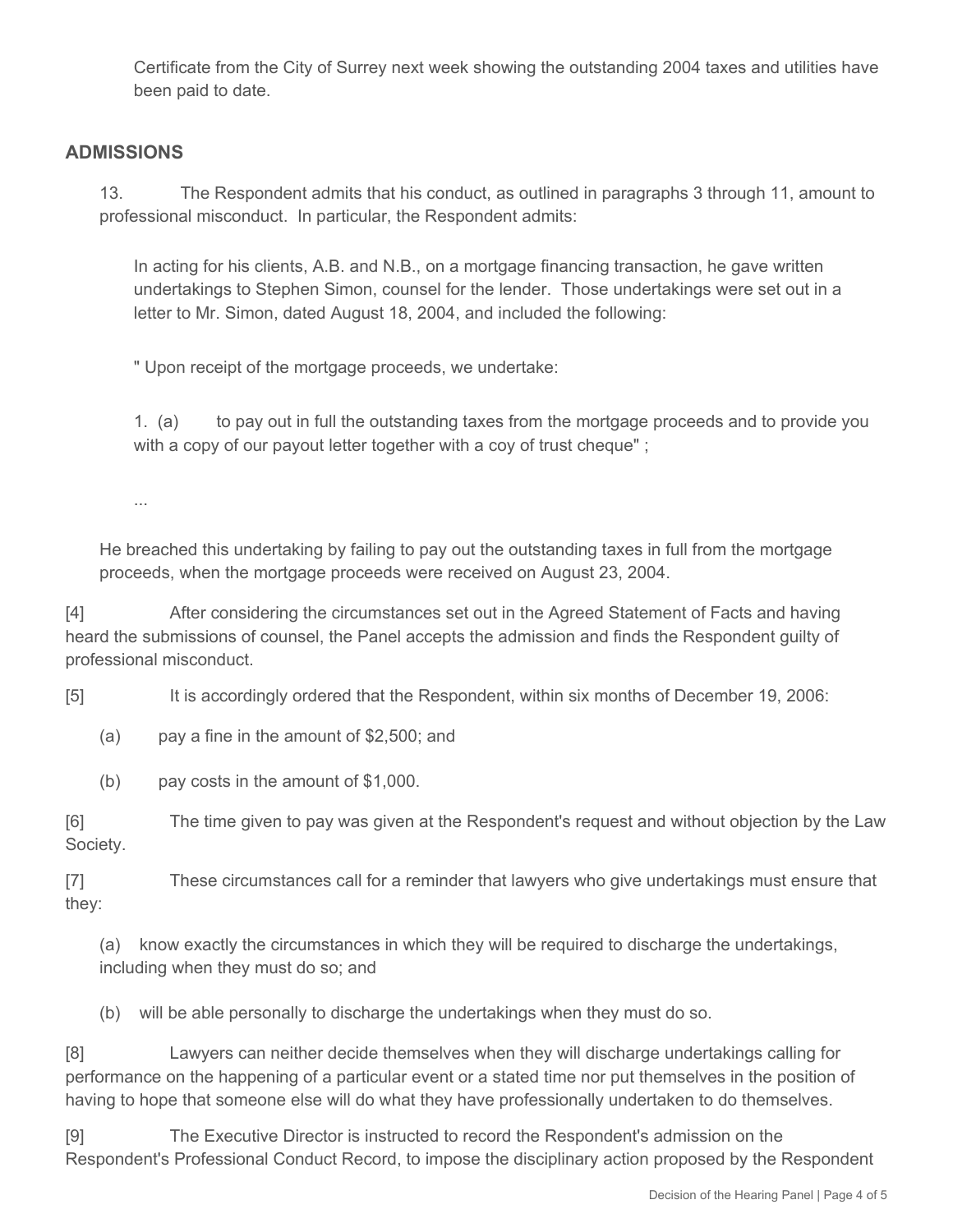Certificate from the City of Surrey next week showing the outstanding 2004 taxes and utilities have been paid to date.

## **ADMISSIONS**

13. The Respondent admits that his conduct, as outlined in paragraphs 3 through 11, amount to professional misconduct. In particular, the Respondent admits:

In acting for his clients, A.B. and N.B., on a mortgage financing transaction, he gave written undertakings to Stephen Simon, counsel for the lender. Those undertakings were set out in a letter to Mr. Simon, dated August 18, 2004, and included the following:

" Upon receipt of the mortgage proceeds, we undertake:

1. (a) to pay out in full the outstanding taxes from the mortgage proceeds and to provide you with a copy of our payout letter together with a coy of trust cheque" ;

...

He breached this undertaking by failing to pay out the outstanding taxes in full from the mortgage proceeds, when the mortgage proceeds were received on August 23, 2004.

[4] After considering the circumstances set out in the Agreed Statement of Facts and having heard the submissions of counsel, the Panel accepts the admission and finds the Respondent guilty of professional misconduct.

[5] It is accordingly ordered that the Respondent, within six months of December 19, 2006:

(a) pay a fine in the amount of \$2,500; and

(b) pay costs in the amount of \$1,000.

[6] The time given to pay was given at the Respondent's request and without objection by the Law Society.

[7] These circumstances call for a reminder that lawyers who give undertakings must ensure that they:

(a) know exactly the circumstances in which they will be required to discharge the undertakings, including when they must do so; and

(b) will be able personally to discharge the undertakings when they must do so.

[8] Lawyers can neither decide themselves when they will discharge undertakings calling for performance on the happening of a particular event or a stated time nor put themselves in the position of having to hope that someone else will do what they have professionally undertaken to do themselves.

[9] The Executive Director is instructed to record the Respondent's admission on the Respondent's Professional Conduct Record, to impose the disciplinary action proposed by the Respondent